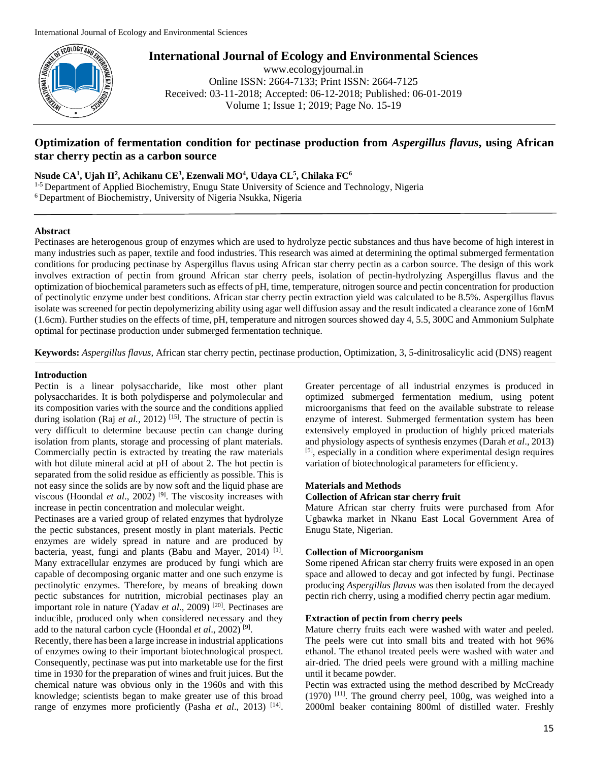

www.ecologyjournal.in Online ISSN: 2664-7133; Print ISSN: 2664-7125 Received: 03-11-2018; Accepted: 06-12-2018; Published: 06-01-2019 Volume 1; Issue 1; 2019; Page No. 15-19

# **Optimization of fermentation condition for pectinase production from** *Aspergillus flavus***, using African star cherry pectin as a carbon source**

**Nsude CA<sup>1</sup> , Ujah II<sup>2</sup> , Achikanu CE<sup>3</sup> , Ezenwali MO<sup>4</sup> , Udaya CL<sup>5</sup> , Chilaka FC<sup>6</sup>**

<sup>1-5</sup> Department of Applied Biochemistry, Enugu State University of Science and Technology, Nigeria <sup>6</sup> Department of Biochemistry, University of Nigeria Nsukka, Nigeria

# **Abstract**

Pectinases are heterogenous group of enzymes which are used to hydrolyze pectic substances and thus have become of high interest in many industries such as paper, textile and food industries. This research was aimed at determining the optimal submerged fermentation conditions for producing pectinase by Aspergillus flavus using African star cherry pectin as a carbon source. The design of this work involves extraction of pectin from ground African star cherry peels, isolation of pectin-hydrolyzing Aspergillus flavus and the optimization of biochemical parameters such as effects of pH, time, temperature, nitrogen source and pectin concentration for production of pectinolytic enzyme under best conditions. African star cherry pectin extraction yield was calculated to be 8.5%. Aspergillus flavus isolate was screened for pectin depolymerizing ability using agar well diffusion assay and the result indicated a clearance zone of 16mM (1.6cm). Further studies on the effects of time, pH, temperature and nitrogen sources showed day 4, 5.5, 300C and Ammonium Sulphate optimal for pectinase production under submerged fermentation technique.

**Keywords:** *Aspergillus flavus,* African star cherry pectin, pectinase production, Optimization, 3, 5-dinitrosalicylic acid (DNS) reagent

# **Introduction**

Pectin is a linear polysaccharide, like most other plant polysaccharides. It is both polydisperse and polymolecular and its composition varies with the source and the conditions applied during isolation (Raj *et al.*, 2012)<sup>[15]</sup>. The structure of pectin is very difficult to determine because pectin can change during isolation from plants, storage and processing of plant materials. Commercially pectin is extracted by treating the raw materials with hot dilute mineral acid at pH of about 2. The hot pectin is separated from the solid residue as efficiently as possible. This is not easy since the solids are by now soft and the liquid phase are viscous (Hoondal *et al.*, 2002)<sup>[9]</sup>. The viscosity increases with increase in pectin concentration and molecular weight.

Pectinases are a varied group of related enzymes that hydrolyze the pectic substances, present mostly in plant materials. Pectic enzymes are widely spread in nature and are produced by bacteria, yeast, fungi and plants (Babu and Mayer, 2014)<sup>[1]</sup>. Many extracellular enzymes are produced by fungi which are capable of decomposing organic matter and one such enzyme is pectinolytic enzymes. Therefore, by means of breaking down pectic substances for nutrition, microbial pectinases play an important role in nature (Yadav et al., 2009)<sup>[20]</sup>. Pectinases are inducible, produced only when considered necessary and they add to the natural carbon cycle (Hoondal *et al*., 2002) [9] .

Recently, there has been a large increase in industrial applications of enzymes owing to their important biotechnological prospect. Consequently, pectinase was put into marketable use for the first time in 1930 for the preparation of wines and fruit juices. But the chemical nature was obvious only in the 1960s and with this knowledge; scientists began to make greater use of this broad range of enzymes more proficiently (Pasha *et al.*, 2013)<sup>[14]</sup>.

Greater percentage of all industrial enzymes is produced in optimized submerged fermentation medium, using potent microorganisms that feed on the available substrate to release enzyme of interest. Submerged fermentation system has been extensively employed in production of highly priced materials and physiology aspects of synthesis enzymes (Darah *et al*., 2013) [5] , especially in a condition where experimental design requires variation of biotechnological parameters for efficiency.

## **Materials and Methods**

## **Collection of African star cherry fruit**

Mature African star cherry fruits were purchased from Afor Ugbawka market in Nkanu East Local Government Area of Enugu State, Nigerian.

# **Collection of Microorganism**

Some ripened African star cherry fruits were exposed in an open space and allowed to decay and got infected by fungi. Pectinase producing *Aspergillus flavus* was then isolated from the decayed pectin rich cherry, using a modified cherry pectin agar medium.

# **Extraction of pectin from cherry peels**

Mature cherry fruits each were washed with water and peeled. The peels were cut into small bits and treated with hot 96% ethanol. The ethanol treated peels were washed with water and air-dried. The dried peels were ground with a milling machine until it became powder.

Pectin was extracted using the method described by McCready  $(1970)$ <sup>[11]</sup>. The ground cherry peel,  $100g$ , was weighed into a 2000ml beaker containing 800ml of distilled water. Freshly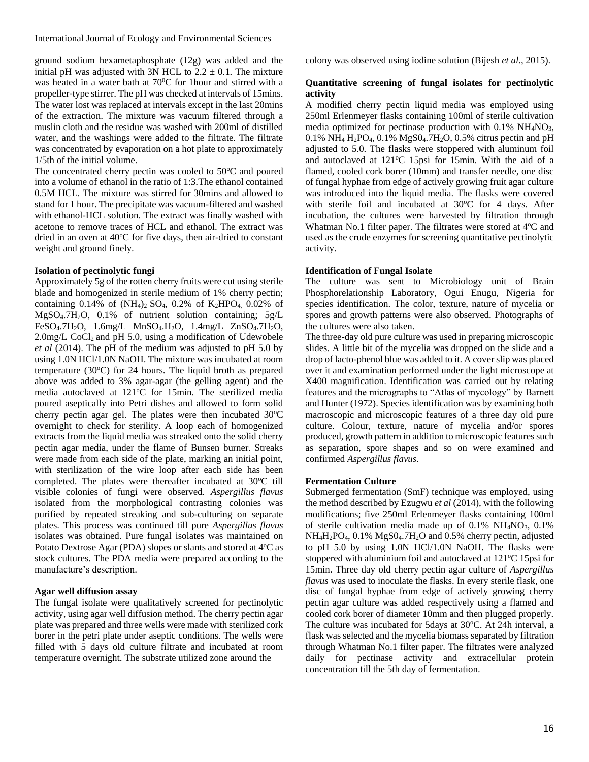ground sodium hexametaphosphate (12g) was added and the initial pH was adjusted with 3N HCL to  $2.2 \pm 0.1$ . The mixture was heated in a water bath at  $70^{\circ}$ C for 1 hour and stirred with a propeller-type stirrer. The pH was checked at intervals of 15mins. The water lost was replaced at intervals except in the last 20mins of the extraction. The mixture was vacuum filtered through a muslin cloth and the residue was washed with 200ml of distilled water, and the washings were added to the filtrate. The filtrate was concentrated by evaporation on a hot plate to approximately 1/5th of the initial volume.

The concentrated cherry pectin was cooled to  $50^{\circ}$ C and poured into a volume of ethanol in the ratio of 1:3.The ethanol contained 0.5M HCL. The mixture was stirred for 30mins and allowed to stand for 1 hour. The precipitate was vacuum-filtered and washed with ethanol-HCL solution. The extract was finally washed with acetone to remove traces of HCL and ethanol. The extract was dried in an oven at  $40^{\circ}$ C for five days, then air-dried to constant weight and ground finely.

# **Isolation of pectinolytic fungi**

Approximately 5g of the rotten cherry fruits were cut using sterile blade and homogenized in sterile medium of 1% cherry pectin; containing 0.14% of  $(NH_4)$ <sub>2</sub> SO<sub>4</sub>, 0.2% of K<sub>2</sub>HPO<sub>4</sub>, 0.02% of MgSO4.7H2O, 0.1% of nutrient solution containing; 5g/L FeSO4.7H2O, 1.6mg/L MnSO4.H2O, 1.4mg/L ZnSO4.7H2O,  $2.0$ mg/L CoCl<sub>2</sub> and pH 5.0, using a modification of Udewobele *et al* (2014). The pH of the medium was adjusted to pH 5.0 by using 1.0N HCl/1.0N NaOH. The mixture was incubated at room temperature  $(30^{\circ}C)$  for 24 hours. The liquid broth as prepared above was added to 3% agar-agar (the gelling agent) and the media autoclaved at 121°C for 15min. The sterilized media poured aseptically into Petri dishes and allowed to form solid cherry pectin agar gel. The plates were then incubated  $30^{\circ}$ C overnight to check for sterility. A loop each of homogenized extracts from the liquid media was streaked onto the solid cherry pectin agar media, under the flame of Bunsen burner. Streaks were made from each side of the plate, marking an initial point, with sterilization of the wire loop after each side has been completed. The plates were thereafter incubated at 30°C till visible colonies of fungi were observed. *Aspergillus flavus* isolated from the morphological contrasting colonies was purified by repeated streaking and sub-culturing on separate plates. This process was continued till pure *Aspergillus flavus* isolates was obtained. Pure fungal isolates was maintained on Potato Dextrose Agar (PDA) slopes or slants and stored at 4°C as stock cultures. The PDA media were prepared according to the manufacture's description.

#### **Agar well diffusion assay**

The fungal isolate were qualitatively screened for pectinolytic activity, using agar well diffusion method. The cherry pectin agar plate was prepared and three wells were made with sterilized cork borer in the petri plate under aseptic conditions. The wells were filled with 5 days old culture filtrate and incubated at room temperature overnight. The substrate utilized zone around the

colony was observed using iodine solution (Bijesh *et al*., 2015).

## **Quantitative screening of fungal isolates for pectinolytic activity**

A modified cherry pectin liquid media was employed using 250ml Erlenmeyer flasks containing 100ml of sterile cultivation media optimized for pectinase production with 0.1% NH4NO3, 0.1% NH<sup>4</sup> H2PO4, 0.1% MgS04.7H2O, 0.5% citrus pectin and pH adjusted to 5.0. The flasks were stoppered with aluminum foil and autoclaved at  $121^{\circ}$ C 15psi for 15min. With the aid of a flamed, cooled cork borer (10mm) and transfer needle, one disc of fungal hyphae from edge of actively growing fruit agar culture was introduced into the liquid media. The flasks were covered with sterile foil and incubated at  $30^{\circ}$ C for 4 days. After incubation, the cultures were harvested by filtration through Whatman No.1 filter paper. The filtrates were stored at 4°C and used as the crude enzymes for screening quantitative pectinolytic activity.

#### **Identification of Fungal Isolate**

The culture was sent to Microbiology unit of Brain Phosphorelationship Laboratory, Ogui Enugu, Nigeria for species identification. The color, texture, nature of mycelia or spores and growth patterns were also observed. Photographs of the cultures were also taken.

The three-day old pure culture was used in preparing microscopic slides. A little bit of the mycelia was dropped on the slide and a drop of lacto-phenol blue was added to it. A cover slip was placed over it and examination performed under the light microscope at X400 magnification. Identification was carried out by relating features and the micrographs to "Atlas of mycology" by Barnett and Hunter (1972). Species identification was by examining both macroscopic and microscopic features of a three day old pure culture. Colour, texture, nature of mycelia and/or spores produced, growth pattern in addition to microscopic features such as separation, spore shapes and so on were examined and confirmed *Aspergillus flavus*.

# **Fermentation Culture**

Submerged fermentation (SmF) technique was employed, using the method described by Ezugwu *et al* (2014), with the following modifications; five 250ml Erlenmeyer flasks containing 100ml of sterile cultivation media made up of  $0.1\%$  NH<sub>4</sub>NO<sub>3</sub>,  $0.1\%$ NH<sub>4</sub>H<sub>2</sub>PO<sub>4</sub>, 0.1% MgS0<sub>4</sub>.7H<sub>2</sub>O and 0.5% cherry pectin, adjusted to pH 5.0 by using 1.0N HCl/1.0N NaOH. The flasks were stoppered with aluminium foil and autoclaved at  $121\textdegree C$  15psi for 15min. Three day old cherry pectin agar culture of *Aspergillus flavus* was used to inoculate the flasks. In every sterile flask, one disc of fungal hyphae from edge of actively growing cherry pectin agar culture was added respectively using a flamed and cooled cork borer of diameter 10mm and then plugged properly. The culture was incubated for 5days at 30°C. At 24h interval, a flask was selected and the mycelia biomass separated by filtration through Whatman No.1 filter paper. The filtrates were analyzed daily for pectinase activity and extracellular protein concentration till the 5th day of fermentation.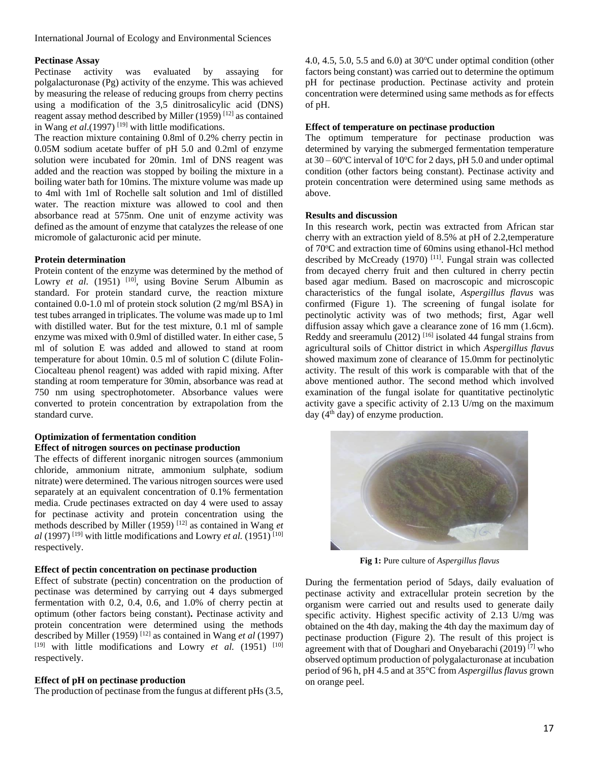#### **Pectinase Assay**

Pectinase activity was evaluated by assaying for polgalacturonase (Pg) activity of the enzyme. This was achieved by measuring the release of reducing groups from cherry pectins using a modification of the 3,5 dinitrosalicylic acid (DNS) reagent assay method described by Miller  $(1959)$ <sup>[12]</sup> as contained in Wang *et al.*(1997)<sup>[19]</sup> with little modifications.

The reaction mixture containing 0.8ml of 0.2% cherry pectin in 0.05M sodium acetate buffer of pH 5.0 and 0.2ml of enzyme solution were incubated for 20min. 1ml of DNS reagent was added and the reaction was stopped by boiling the mixture in a boiling water bath for 10mins. The mixture volume was made up to 4ml with 1ml of Rochelle salt solution and 1ml of distilled water. The reaction mixture was allowed to cool and then absorbance read at 575nm. One unit of enzyme activity was defined as the amount of enzyme that catalyzes the release of one micromole of galacturonic acid per minute.

# **Protein determination**

Protein content of the enzyme was determined by the method of Lowry et al. (1951) <sup>[10]</sup>, using Bovine Serum Albumin as standard. For protein standard curve, the reaction mixture contained 0.0-1.0 ml of protein stock solution (2 mg/ml BSA) in test tubes arranged in triplicates. The volume was made up to 1ml with distilled water. But for the test mixture, 0.1 ml of sample enzyme was mixed with 0.9ml of distilled water. In either case, 5 ml of solution E was added and allowed to stand at room temperature for about 10min. 0.5 ml of solution C (dilute Folin-Ciocalteau phenol reagent) was added with rapid mixing. After standing at room temperature for 30min, absorbance was read at 750 nm using spectrophotometer. Absorbance values were converted to protein concentration by extrapolation from the standard curve.

#### **Optimization of fermentation condition Effect of nitrogen sources on pectinase production**

The effects of different inorganic nitrogen sources (ammonium chloride, ammonium nitrate, ammonium sulphate, sodium nitrate) were determined. The various nitrogen sources were used separately at an equivalent concentration of 0.1% fermentation media. Crude pectinases extracted on day 4 were used to assay for pectinase activity and protein concentration using the methods described by Miller (1959) [12] as contained in Wang *et*   $al$  (1997)<sup>[19]</sup> with little modifications and Lowry *et al.* (1951)<sup>[10]</sup> respectively.

## **Effect of pectin concentration on pectinase production**

Effect of substrate (pectin) concentration on the production of pectinase was determined by carrying out 4 days submerged fermentation with 0.2, 0.4, 0.6, and 1.0% of cherry pectin at optimum (other factors being constant)**.** Pectinase activity and protein concentration were determined using the methods described by Miller (1959) [12] as contained in Wang *et al* (1997) [19] with little modifications and Lowry *et al.* (1951)<sup>[10]</sup> respectively.

## **Effect of pH on pectinase production**

The production of pectinase from the fungus at different pHs (3.5,

4.0, 4.5, 5.0, 5.5 and 6.0) at  $30^{\circ}$ C under optimal condition (other factors being constant) was carried out to determine the optimum pH for pectinase production. Pectinase activity and protein concentration were determined using same methods as for effects of pH.

## **Effect of temperature on pectinase production**

The optimum temperature for pectinase production was determined by varying the submerged fermentation temperature at  $30 - 60^{\circ}$ C interval of  $10^{\circ}$ C for 2 days, pH 5.0 and under optimal condition (other factors being constant). Pectinase activity and protein concentration were determined using same methods as above.

#### **Results and discussion**

In this research work, pectin was extracted from African star cherry with an extraction yield of 8.5% at pH of 2.2,temperature of 70<sup>o</sup>C and extraction time of 60mins using ethanol-Hcl method described by McCready  $(1970)$ <sup>[11]</sup>. Fungal strain was collected from decayed cherry fruit and then cultured in cherry pectin based agar medium. Based on macroscopic and microscopic characteristics of the fungal isolate, *Aspergillus flavus* was confirmed (Figure 1). The screening of fungal isolate for pectinolytic activity was of two methods; first, Agar well diffusion assay which gave a clearance zone of 16 mm (1.6cm). Reddy and sreeramulu (2012)<sup>[16]</sup> isolated 44 fungal strains from agricultural soils of Chittor district in which *Aspergillus flavus* showed maximum zone of clearance of 15.0mm for pectinolytic activity. The result of this work is comparable with that of the above mentioned author. The second method which involved examination of the fungal isolate for quantitative pectinolytic activity gave a specific activity of 2.13 U/mg on the maximum day  $(4<sup>th</sup>$  day) of enzyme production.



**Fig 1:** Pure culture of *Aspergillus flavus*

During the fermentation period of 5days, daily evaluation of pectinase activity and extracellular protein secretion by the organism were carried out and results used to generate daily specific activity. Highest specific activity of 2.13 U/mg was obtained on the 4th day, making the 4th day the maximum day of pectinase production (Figure 2). The result of this project is agreement with that of Doughari and Onyebarachi (2019) [7] who observed optimum production of polygalacturonase at incubation period of 96 h, pH 4.5 and at 35°C from *Aspergillus flavus* grown on orange peel.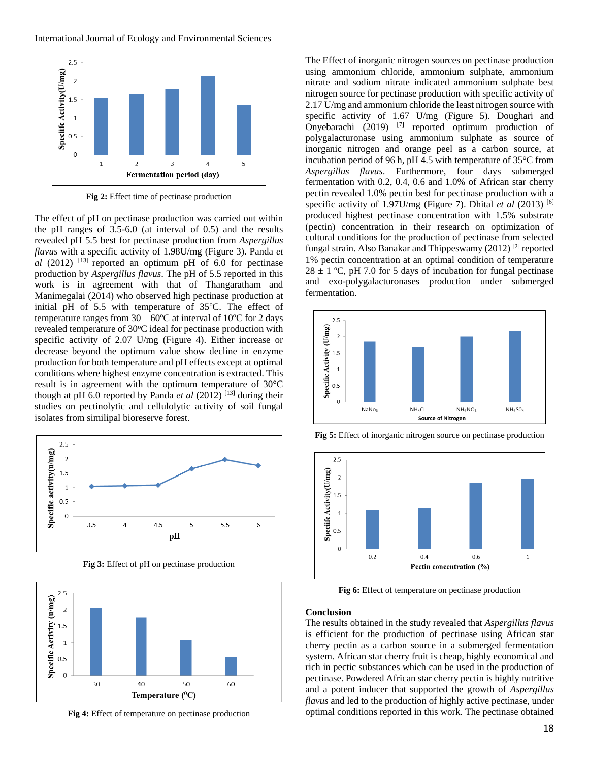

**Fig 2:** Effect time of pectinase production

The effect of pH on pectinase production was carried out within the pH ranges of 3.5-6.0 (at interval of 0.5) and the results revealed pH 5.5 best for pectinase production from *Aspergillus flavus* with a specific activity of 1.98U/mg (Figure 3). Panda *et*   $al$  (2012) <sup>[13]</sup> reported an optimum pH of 6.0 for pectinase production by *Aspergillus flavus*. The pH of 5.5 reported in this work is in agreement with that of Thangaratham and Manimegalai (2014) who observed high pectinase production at initial pH of  $5.5$  with temperature of  $35^{\circ}$ C. The effect of temperature ranges from  $30 - 60^{\circ}$ C at interval of 10 $^{\circ}$ C for 2 days revealed temperature of 30°C ideal for pectinase production with specific activity of 2.07 U/mg (Figure 4). Either increase or decrease beyond the optimum value show decline in enzyme production for both temperature and pH effects except at optimal conditions where highest enzyme concentration is extracted. This result is in agreement with the optimum temperature of 30°C though at pH 6.0 reported by Panda *et al* (2012) [13] during their studies on pectinolytic and cellulolytic activity of soil fungal isolates from similipal bioreserve forest.



**Fig 3:** Effect of pH on pectinase production



**Fig 4:** Effect of temperature on pectinase production

The Effect of inorganic nitrogen sources on pectinase production using ammonium chloride, ammonium sulphate, ammonium nitrate and sodium nitrate indicated ammonium sulphate best nitrogen source for pectinase production with specific activity of 2.17 U/mg and ammonium chloride the least nitrogen source with specific activity of 1.67 U/mg (Figure 5). Doughari and Onyebarachi  $(2019)$ <sup>[7]</sup> reported optimum production of polygalacturonase using ammonium sulphate as source of inorganic nitrogen and orange peel as a carbon source, at incubation period of 96 h, pH 4.5 with temperature of 35°C from *Aspergillus flavus*. Furthermore, four days submerged fermentation with 0.2, 0.4, 0.6 and 1.0% of African star cherry pectin revealed 1.0% pectin best for pectinase production with a specific activity of 1.97U/mg (Figure 7). Dhital *et al* (2013) [6] produced highest pectinase concentration with 1.5% substrate (pectin) concentration in their research on optimization of cultural conditions for the production of pectinase from selected fungal strain. Also Banakar and Thippeswamy (2012)<sup>[2]</sup> reported 1% pectin concentration at an optimal condition of temperature  $28 \pm 1$  °C, pH 7.0 for 5 days of incubation for fungal pectinase and exo-polygalacturonases production under submerged fermentation.





**Fig 5:** Effect of inorganic nitrogen source on pectinase production

**Fig 6:** Effect of temperature on pectinase production

#### **Conclusion**

The results obtained in the study revealed that *Aspergillus flavus* is efficient for the production of pectinase using African star cherry pectin as a carbon source in a submerged fermentation system. African star cherry fruit is cheap, highly economical and rich in pectic substances which can be used in the production of pectinase. Powdered African star cherry pectin is highly nutritive and a potent inducer that supported the growth of *Aspergillus flavus* and led to the production of highly active pectinase, under optimal conditions reported in this work. The pectinase obtained